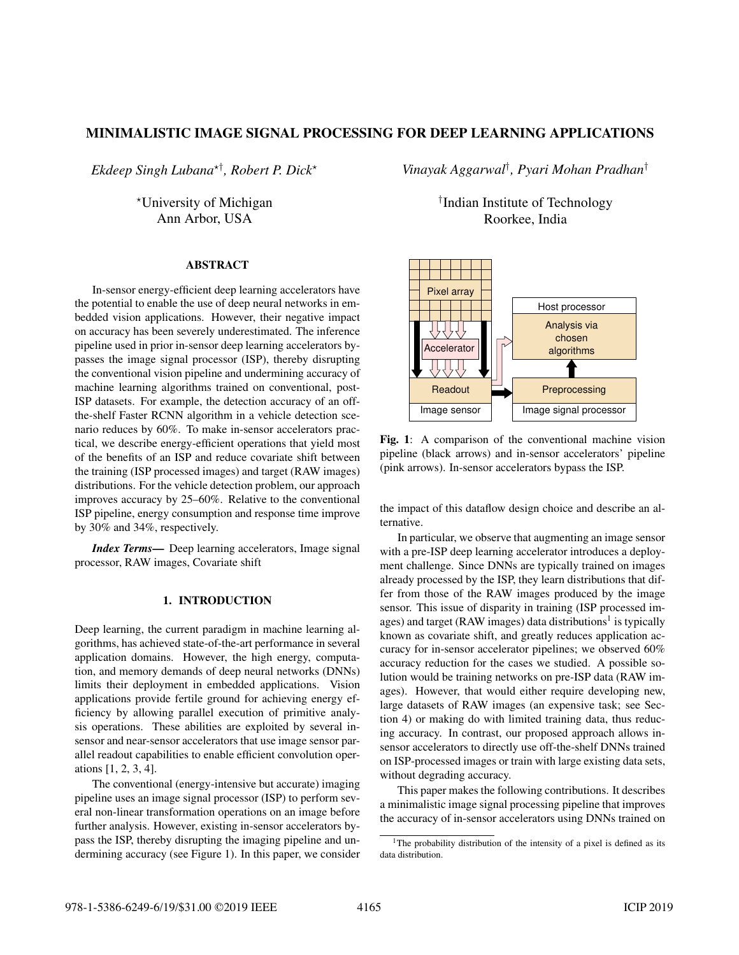# MINIMALISTIC IMAGE SIGNAL PROCESSING FOR DEEP LEARNING APPLICATIONS

*Ekdeep Singh Lubana*?† *, Robert P. Dick*?

?University of Michigan Ann Arbor, USA

# ABSTRACT

In-sensor energy-efficient deep learning accelerators have the potential to enable the use of deep neural networks in embedded vision applications. However, their negative impact on accuracy has been severely underestimated. The inference pipeline used in prior in-sensor deep learning accelerators bypasses the image signal processor (ISP), thereby disrupting the conventional vision pipeline and undermining accuracy of machine learning algorithms trained on conventional, post-ISP datasets. For example, the detection accuracy of an offthe-shelf Faster RCNN algorithm in a vehicle detection scenario reduces by 60%. To make in-sensor accelerators practical, we describe energy-efficient operations that yield most of the benefits of an ISP and reduce covariate shift between the training (ISP processed images) and target (RAW images) distributions. For the vehicle detection problem, our approach improves accuracy by 25–60%. Relative to the conventional ISP pipeline, energy consumption and response time improve by 30% and 34%, respectively.

*Index Terms*— Deep learning accelerators, Image signal processor, RAW images, Covariate shift

### 1. INTRODUCTION

Deep learning, the current paradigm in machine learning algorithms, has achieved state-of-the-art performance in several application domains. However, the high energy, computation, and memory demands of deep neural networks (DNNs) limits their deployment in embedded applications. Vision applications provide fertile ground for achieving energy efficiency by allowing parallel execution of primitive analysis operations. These abilities are exploited by several insensor and near-sensor accelerators that use image sensor parallel readout capabilities to enable efficient convolution operations [1, 2, 3, 4].

The conventional (energy-intensive but accurate) imaging pipeline uses an image signal processor (ISP) to perform several non-linear transformation operations on an image before further analysis. However, existing in-sensor accelerators bypass the ISP, thereby disrupting the imaging pipeline and undermining accuracy (see Figure 1). In this paper, we consider

*Vinayak Aggarwal*† *, Pyari Mohan Pradhan*†

† Indian Institute of Technology Roorkee, India



Fig. 1: A comparison of the conventional machine vision pipeline (black arrows) and in-sensor accelerators' pipeline (pink arrows). In-sensor accelerators bypass the ISP.

the impact of this dataflow design choice and describe an alternative.

In particular, we observe that augmenting an image sensor with a pre-ISP deep learning accelerator introduces a deployment challenge. Since DNNs are typically trained on images already processed by the ISP, they learn distributions that differ from those of the RAW images produced by the image sensor. This issue of disparity in training (ISP processed images) and target (RAW images) data distributions<sup>1</sup> is typically known as covariate shift, and greatly reduces application accuracy for in-sensor accelerator pipelines; we observed 60% accuracy reduction for the cases we studied. A possible solution would be training networks on pre-ISP data (RAW images). However, that would either require developing new, large datasets of RAW images (an expensive task; see Section 4) or making do with limited training data, thus reducing accuracy. In contrast, our proposed approach allows insensor accelerators to directly use off-the-shelf DNNs trained on ISP-processed images or train with large existing data sets, without degrading accuracy.

This paper makes the following contributions. It describes a minimalistic image signal processing pipeline that improves the accuracy of in-sensor accelerators using DNNs trained on

<sup>&</sup>lt;sup>1</sup>The probability distribution of the intensity of a pixel is defined as its data distribution.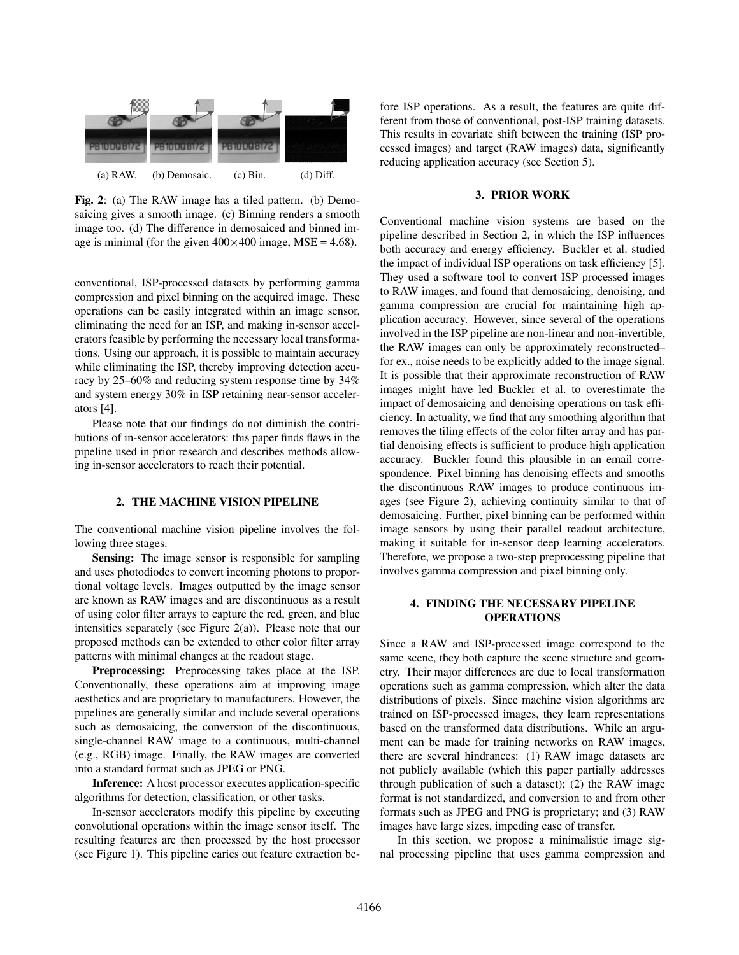

Fig. 2: (a) The RAW image has a tiled pattern. (b) Demosaicing gives a smooth image. (c) Binning renders a smooth image too. (d) The difference in demosaiced and binned image is minimal (for the given  $400 \times 400$  image, MSE = 4.68).

conventional, ISP-processed datasets by performing gamma compression and pixel binning on the acquired image. These operations can be easily integrated within an image sensor, eliminating the need for an ISP, and making in-sensor accelerators feasible by performing the necessary local transformations. Using our approach, it is possible to maintain accuracy while eliminating the ISP, thereby improving detection accuracy by 25–60% and reducing system response time by 34% and system energy 30% in ISP retaining near-sensor accelerators [4].

Please note that our findings do not diminish the contributions of in-sensor accelerators: this paper finds flaws in the pipeline used in prior research and describes methods allowing in-sensor accelerators to reach their potential.

### 2. THE MACHINE VISION PIPELINE

The conventional machine vision pipeline involves the following three stages.

Sensing: The image sensor is responsible for sampling and uses photodiodes to convert incoming photons to proportional voltage levels. Images outputted by the image sensor are known as RAW images and are discontinuous as a result of using color filter arrays to capture the red, green, and blue intensities separately (see Figure 2(a)). Please note that our proposed methods can be extended to other color filter array patterns with minimal changes at the readout stage.

Preprocessing: Preprocessing takes place at the ISP. Conventionally, these operations aim at improving image aesthetics and are proprietary to manufacturers. However, the pipelines are generally similar and include several operations such as demosaicing, the conversion of the discontinuous, single-channel RAW image to a continuous, multi-channel (e.g., RGB) image. Finally, the RAW images are converted into a standard format such as JPEG or PNG.

Inference: A host processor executes application-specific algorithms for detection, classification, or other tasks.

In-sensor accelerators modify this pipeline by executing convolutional operations within the image sensor itself. The resulting features are then processed by the host processor (see Figure 1). This pipeline caries out feature extraction before ISP operations. As a result, the features are quite different from those of conventional, post-ISP training datasets. This results in covariate shift between the training (ISP processed images) and target (RAW images) data, significantly reducing application accuracy (see Section 5).

#### 3. PRIOR WORK

Conventional machine vision systems are based on the pipeline described in Section 2, in which the ISP influences both accuracy and energy efficiency. Buckler et al. studied the impact of individual ISP operations on task efficiency [5]. They used a software tool to convert ISP processed images to RAW images, and found that demosaicing, denoising, and gamma compression are crucial for maintaining high application accuracy. However, since several of the operations involved in the ISP pipeline are non-linear and non-invertible, the RAW images can only be approximately reconstructed– for ex., noise needs to be explicitly added to the image signal. It is possible that their approximate reconstruction of RAW images might have led Buckler et al. to overestimate the impact of demosaicing and denoising operations on task efficiency. In actuality, we find that any smoothing algorithm that removes the tiling effects of the color filter array and has partial denoising effects is sufficient to produce high application accuracy. Buckler found this plausible in an email correspondence. Pixel binning has denoising effects and smooths the discontinuous RAW images to produce continuous images (see Figure 2), achieving continuity similar to that of demosaicing. Further, pixel binning can be performed within image sensors by using their parallel readout architecture, making it suitable for in-sensor deep learning accelerators. Therefore, we propose a two-step preprocessing pipeline that involves gamma compression and pixel binning only.

# 4. FINDING THE NECESSARY PIPELINE **OPERATIONS**

Since a RAW and ISP-processed image correspond to the same scene, they both capture the scene structure and geometry. Their major differences are due to local transformation operations such as gamma compression, which alter the data distributions of pixels. Since machine vision algorithms are trained on ISP-processed images, they learn representations based on the transformed data distributions. While an argument can be made for training networks on RAW images, there are several hindrances: (1) RAW image datasets are not publicly available (which this paper partially addresses through publication of such a dataset); (2) the RAW image format is not standardized, and conversion to and from other formats such as JPEG and PNG is proprietary; and (3) RAW images have large sizes, impeding ease of transfer.

In this section, we propose a minimalistic image signal processing pipeline that uses gamma compression and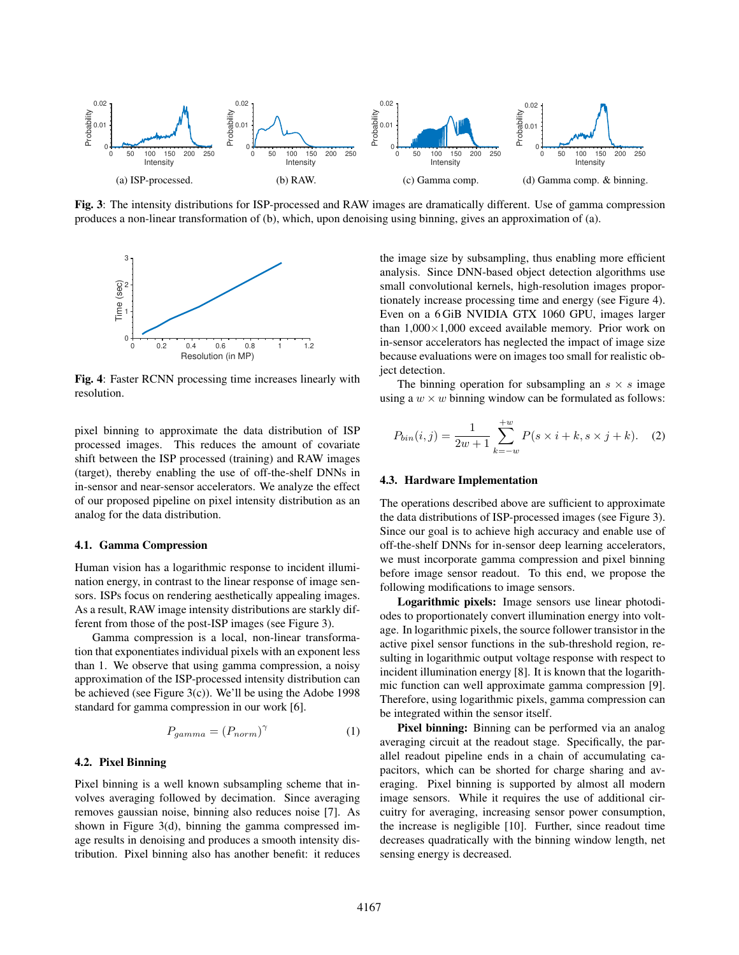

Fig. 3: The intensity distributions for ISP-processed and RAW images are dramatically different. Use of gamma compression produces a non-linear transformation of (b), which, upon denoising using binning, gives an approximation of (a).



Fig. 4: Faster RCNN processing time increases linearly with resolution.

pixel binning to approximate the data distribution of ISP processed images. This reduces the amount of covariate shift between the ISP processed (training) and RAW images (target), thereby enabling the use of off-the-shelf DNNs in in-sensor and near-sensor accelerators. We analyze the effect of our proposed pipeline on pixel intensity distribution as an analog for the data distribution.

#### 4.1. Gamma Compression

Human vision has a logarithmic response to incident illumination energy, in contrast to the linear response of image sensors. ISPs focus on rendering aesthetically appealing images. As a result, RAW image intensity distributions are starkly different from those of the post-ISP images (see Figure 3).

Gamma compression is a local, non-linear transformation that exponentiates individual pixels with an exponent less than 1. We observe that using gamma compression, a noisy approximation of the ISP-processed intensity distribution can be achieved (see Figure 3(c)). We'll be using the Adobe 1998 standard for gamma compression in our work [6].

$$
P_{gamma} = (P_{norm})^{\gamma} \tag{1}
$$

### 4.2. Pixel Binning

Pixel binning is a well known subsampling scheme that involves averaging followed by decimation. Since averaging removes gaussian noise, binning also reduces noise [7]. As shown in Figure 3(d), binning the gamma compressed image results in denoising and produces a smooth intensity distribution. Pixel binning also has another benefit: it reduces the image size by subsampling, thus enabling more efficient analysis. Since DNN-based object detection algorithms use small convolutional kernels, high-resolution images proportionately increase processing time and energy (see Figure 4). Even on a 6 GiB NVIDIA GTX 1060 GPU, images larger than  $1,000\times1,000$  exceed available memory. Prior work on in-sensor accelerators has neglected the impact of image size because evaluations were on images too small for realistic object detection.

The binning operation for subsampling an  $s \times s$  image using a  $w \times w$  binning window can be formulated as follows:

$$
P_{bin}(i,j) = \frac{1}{2w+1} \sum_{k=-w}^{+w} P(s \times i + k, s \times j + k). \tag{2}
$$

#### 4.3. Hardware Implementation

The operations described above are sufficient to approximate the data distributions of ISP-processed images (see Figure 3). Since our goal is to achieve high accuracy and enable use of off-the-shelf DNNs for in-sensor deep learning accelerators, we must incorporate gamma compression and pixel binning before image sensor readout. To this end, we propose the following modifications to image sensors.

Logarithmic pixels: Image sensors use linear photodiodes to proportionately convert illumination energy into voltage. In logarithmic pixels, the source follower transistor in the active pixel sensor functions in the sub-threshold region, resulting in logarithmic output voltage response with respect to incident illumination energy [8]. It is known that the logarithmic function can well approximate gamma compression [9]. Therefore, using logarithmic pixels, gamma compression can be integrated within the sensor itself.

Pixel binning: Binning can be performed via an analog averaging circuit at the readout stage. Specifically, the parallel readout pipeline ends in a chain of accumulating capacitors, which can be shorted for charge sharing and averaging. Pixel binning is supported by almost all modern image sensors. While it requires the use of additional circuitry for averaging, increasing sensor power consumption, the increase is negligible [10]. Further, since readout time decreases quadratically with the binning window length, net sensing energy is decreased.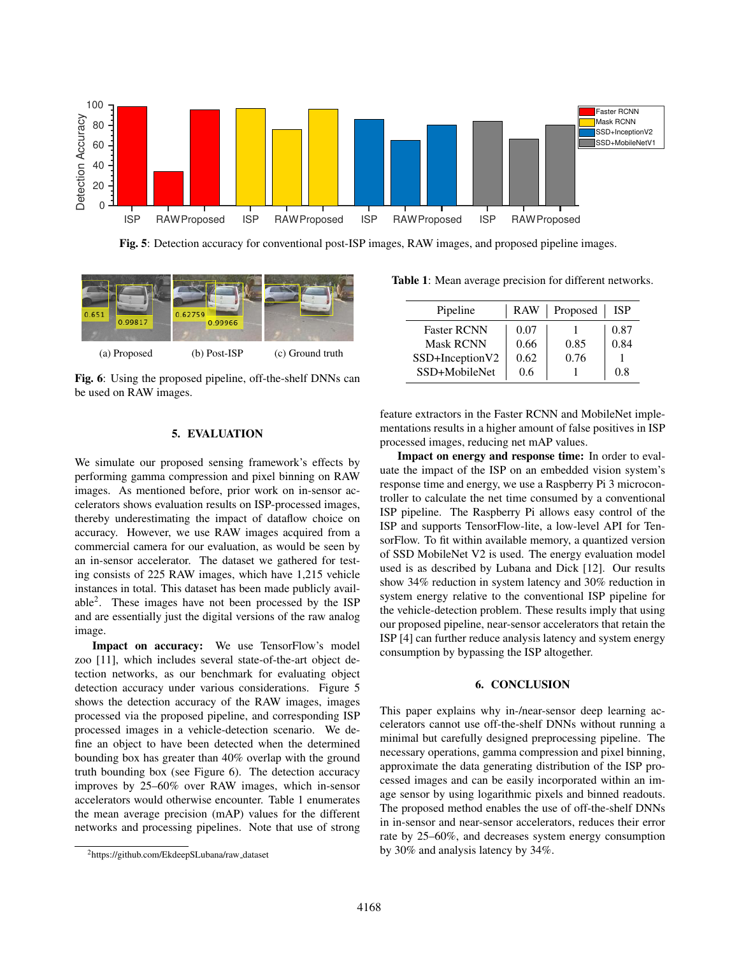





Fig. 6: Using the proposed pipeline, off-the-shelf DNNs can be used on RAW images.

### 5. EVALUATION

We simulate our proposed sensing framework's effects by performing gamma compression and pixel binning on RAW images. As mentioned before, prior work on in-sensor accelerators shows evaluation results on ISP-processed images, thereby underestimating the impact of dataflow choice on accuracy. However, we use RAW images acquired from a commercial camera for our evaluation, as would be seen by an in-sensor accelerator. The dataset we gathered for testing consists of 225 RAW images, which have 1,215 vehicle instances in total. This dataset has been made publicly available<sup>2</sup> . These images have not been processed by the ISP and are essentially just the digital versions of the raw analog image.

Impact on accuracy: We use TensorFlow's model zoo [11], which includes several state-of-the-art object detection networks, as our benchmark for evaluating object detection accuracy under various considerations. Figure 5 shows the detection accuracy of the RAW images, images processed via the proposed pipeline, and corresponding ISP processed images in a vehicle-detection scenario. We define an object to have been detected when the determined bounding box has greater than 40% overlap with the ground truth bounding box (see Figure 6). The detection accuracy improves by 25–60% over RAW images, which in-sensor accelerators would otherwise encounter. Table 1 enumerates the mean average precision (mAP) values for the different networks and processing pipelines. Note that use of strong

| Table 1: Mean average precision for different networks. |  |  |  |  |  |  |  |  |
|---------------------------------------------------------|--|--|--|--|--|--|--|--|
|---------------------------------------------------------|--|--|--|--|--|--|--|--|

| Pipeline           | <b>RAW</b> | Proposed | <b>ISP</b> |
|--------------------|------------|----------|------------|
| <b>Faster RCNN</b> | 0.07       |          | 0.87       |
| <b>Mask RCNN</b>   | 0.66       | 0.85     | 0.84       |
| SSD+InceptionV2    | 0.62       | 0.76     |            |
| SSD+MobileNet      | 0.6        |          | 0 8        |

feature extractors in the Faster RCNN and MobileNet implementations results in a higher amount of false positives in ISP processed images, reducing net mAP values.

Impact on energy and response time: In order to evaluate the impact of the ISP on an embedded vision system's response time and energy, we use a Raspberry Pi 3 microcontroller to calculate the net time consumed by a conventional ISP pipeline. The Raspberry Pi allows easy control of the ISP and supports TensorFlow-lite, a low-level API for TensorFlow. To fit within available memory, a quantized version of SSD MobileNet V2 is used. The energy evaluation model used is as described by Lubana and Dick [12]. Our results show 34% reduction in system latency and 30% reduction in system energy relative to the conventional ISP pipeline for the vehicle-detection problem. These results imply that using our proposed pipeline, near-sensor accelerators that retain the ISP [4] can further reduce analysis latency and system energy consumption by bypassing the ISP altogether.

### 6. CONCLUSION

This paper explains why in-/near-sensor deep learning accelerators cannot use off-the-shelf DNNs without running a minimal but carefully designed preprocessing pipeline. The necessary operations, gamma compression and pixel binning, approximate the data generating distribution of the ISP processed images and can be easily incorporated within an image sensor by using logarithmic pixels and binned readouts. The proposed method enables the use of off-the-shelf DNNs in in-sensor and near-sensor accelerators, reduces their error rate by 25–60%, and decreases system energy consumption by 30% and analysis latency by 34%.

<sup>&</sup>lt;sup>2</sup>https://github.com/EkdeepSLubana/raw\_dataset